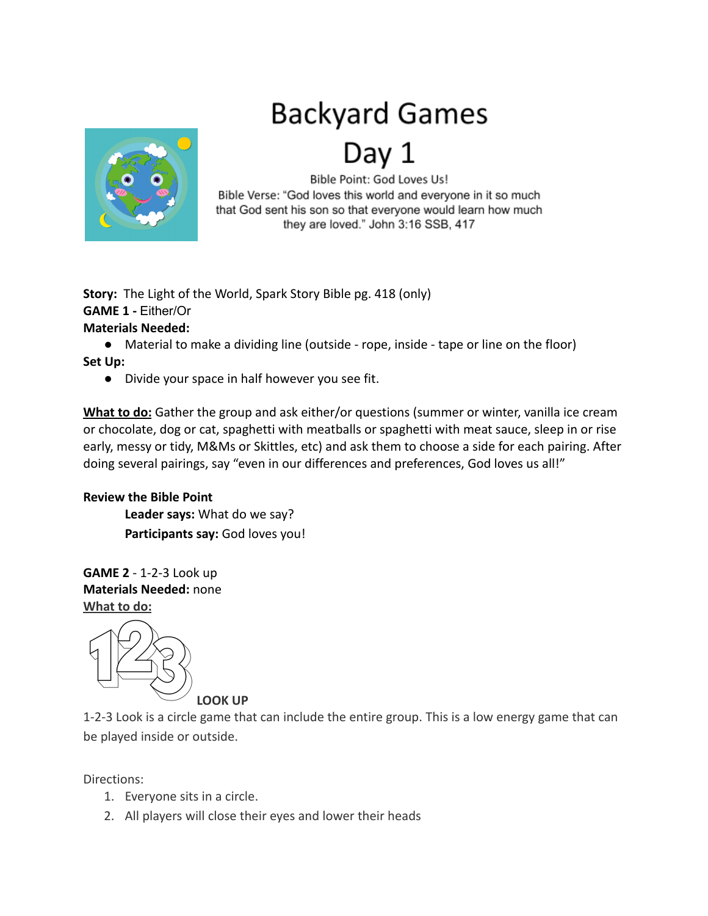## **Backyard Games**



Bible Point: God Loves Us! Bible Verse: "God loves this world and everyone in it so much that God sent his son so that everyone would learn how much they are loved." John 3:16 SSB, 417

**Story:** The Light of the World, Spark Story Bible pg. 418 (only) **GAME 1 -** Either/Or **Materials Needed:**

● Material to make a dividing line (outside - rope, inside - tape or line on the floor) **Set Up:**

● Divide your space in half however you see fit.

**What to do:** Gather the group and ask either/or questions (summer or winter, vanilla ice cream or chocolate, dog or cat, spaghetti with meatballs or spaghetti with meat sauce, sleep in or rise early, messy or tidy, M&Ms or Skittles, etc) and ask them to choose a side for each pairing. After doing several pairings, say "even in our differences and preferences, God loves us all!"

## **Review the Bible Point**

**Leader says:** What do we say? **Participants say:** God loves you!

**GAME 2** - 1-2-3 Look up **Materials Needed:** none **What to do:**



**LOOK UP**

1-2-3 Look is a circle game that can include the entire group. This is a low energy game that can be played inside or outside.

Directions:

- 1. Everyone sits in a circle.
- 2. All players will close their eyes and lower their heads